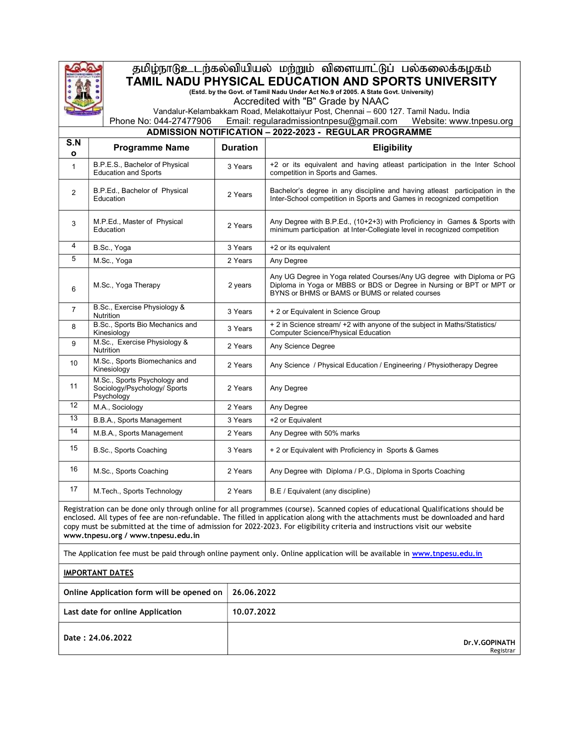

## தமிழ்நாடுஉடற்கல்வியியல் மற்றும் விளையாட்டுப் பல்கலைக்கழகம் TAMIL NADU PHYSICAL EDUCATION AND SPORTS UNIVERSITY (Estd. by the Govt. of Tamil Nadu Under Act No.9 of 2005. A State Govt. University)

Accredited with "B" Grade by NAAC

Vandalur-Kelambakkam Road, Melakottaiyur Post, Chennai – 600 127. Tamil Nadu. India Phone No: 044-27477906 Email: regularadmissiontnpesu@gmail.com Website: www.tnpesu.org

## ADMISSION NOTIFICATION – 2022-2023 - REGULAR PROGRAMME

| S.N<br>$\mathbf{o}$ | <b>Programme Name</b>                                                      | <b>Duration</b> | Eligibility                                                                                                                                                                                                                                                                                                                                                                                       |  |  |  |  |  |  |  |  |  |
|---------------------|----------------------------------------------------------------------------|-----------------|---------------------------------------------------------------------------------------------------------------------------------------------------------------------------------------------------------------------------------------------------------------------------------------------------------------------------------------------------------------------------------------------------|--|--|--|--|--|--|--|--|--|
| $\mathbf{1}$        | B.P.E.S., Bachelor of Physical<br><b>Education and Sports</b>              | 3 Years         | +2 or its equivalent and having atleast participation in the Inter School<br>competition in Sports and Games.                                                                                                                                                                                                                                                                                     |  |  |  |  |  |  |  |  |  |
| $\overline{2}$      | B.P.Ed., Bachelor of Physical<br>Education                                 | 2 Years         | Bachelor's degree in any discipline and having atleast participation in the<br>Inter-School competition in Sports and Games in recognized competition                                                                                                                                                                                                                                             |  |  |  |  |  |  |  |  |  |
| 3                   | M.P.Ed., Master of Physical<br>Education                                   | 2 Years         | Any Degree with B.P.Ed., (10+2+3) with Proficiency in Games & Sports with<br>minimum participation at Inter-Collegiate level in recognized competition                                                                                                                                                                                                                                            |  |  |  |  |  |  |  |  |  |
| 4                   | B.Sc., Yoga                                                                | 3 Years         | +2 or its equivalent                                                                                                                                                                                                                                                                                                                                                                              |  |  |  |  |  |  |  |  |  |
| 5                   | M.Sc., Yoga                                                                | 2 Years         | Any Degree                                                                                                                                                                                                                                                                                                                                                                                        |  |  |  |  |  |  |  |  |  |
| 6                   | M.Sc., Yoga Therapy                                                        | 2 years         | Any UG Degree in Yoga related Courses/Any UG degree with Diploma or PG<br>Diploma in Yoga or MBBS or BDS or Degree in Nursing or BPT or MPT or<br>BYNS or BHMS or BAMS or BUMS or related courses                                                                                                                                                                                                 |  |  |  |  |  |  |  |  |  |
| $\overline{7}$      | B.Sc., Exercise Physiology &<br>Nutrition                                  | 3 Years         | + 2 or Equivalent in Science Group                                                                                                                                                                                                                                                                                                                                                                |  |  |  |  |  |  |  |  |  |
| 8                   | B.Sc., Sports Bio Mechanics and<br>Kinesiology                             | 3 Years         | + 2 in Science stream/ +2 with anyone of the subject in Maths/Statistics/<br><b>Computer Science/Physical Education</b>                                                                                                                                                                                                                                                                           |  |  |  |  |  |  |  |  |  |
| 9                   | M.Sc., Exercise Physiology &<br><b>Nutrition</b>                           | 2 Years         | Any Science Degree                                                                                                                                                                                                                                                                                                                                                                                |  |  |  |  |  |  |  |  |  |
| 10                  | M.Sc., Sports Biomechanics and<br>Kinesiology                              | 2 Years         | Any Science / Physical Education / Engineering / Physiotherapy Degree                                                                                                                                                                                                                                                                                                                             |  |  |  |  |  |  |  |  |  |
| 11                  | M.Sc., Sports Psychology and<br>Sociology/Psychology/ Sports<br>Psychology | 2 Years         | Any Degree                                                                                                                                                                                                                                                                                                                                                                                        |  |  |  |  |  |  |  |  |  |
| 12                  | M.A., Sociology                                                            | 2 Years         | Any Degree                                                                                                                                                                                                                                                                                                                                                                                        |  |  |  |  |  |  |  |  |  |
| 13                  | B.B.A., Sports Management                                                  | 3 Years         | +2 or Equivalent                                                                                                                                                                                                                                                                                                                                                                                  |  |  |  |  |  |  |  |  |  |
| 14                  | M.B.A., Sports Management                                                  | 2 Years         | Any Degree with 50% marks                                                                                                                                                                                                                                                                                                                                                                         |  |  |  |  |  |  |  |  |  |
| 15                  | B.Sc., Sports Coaching                                                     | 3 Years         | + 2 or Equivalent with Proficiency in Sports & Games                                                                                                                                                                                                                                                                                                                                              |  |  |  |  |  |  |  |  |  |
| 16                  | M.Sc., Sports Coaching                                                     | 2 Years         | Any Degree with Diploma / P.G., Diploma in Sports Coaching                                                                                                                                                                                                                                                                                                                                        |  |  |  |  |  |  |  |  |  |
| 17                  | M.Tech., Sports Technology                                                 | 2 Years         | B.E / Equivalent (any discipline)                                                                                                                                                                                                                                                                                                                                                                 |  |  |  |  |  |  |  |  |  |
|                     | www.tnpesu.org / www.tnpesu.edu.in                                         |                 | Registration can be done only through online for all programmes (course). Scanned copies of educational Qualifications should be<br>enclosed. All types of fee are non-refundable. The filled in application along with the attachments must be downloaded and hard<br>copy must be submitted at the time of admission for 2022-2023. For eligibility criteria and instructions visit our website |  |  |  |  |  |  |  |  |  |

The Application fee must be paid through online payment only. Online application will be available in www.tnpesu.edu.in

IMPORTANT DATES

| Online Application form will be opened on | 26.06.2022                 |
|-------------------------------------------|----------------------------|
| Last date for online Application          | 10.07.2022                 |
| Date: 24.06.2022                          | Dr.V.GOPINATH<br>Registrar |